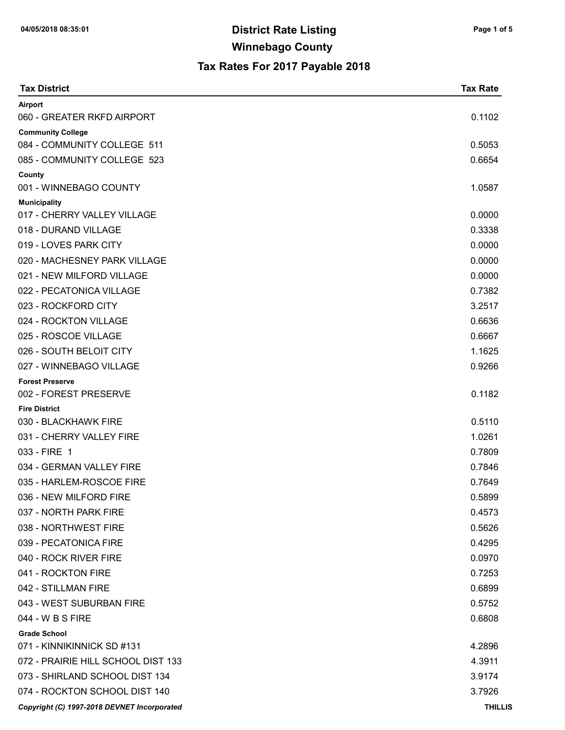| <b>Tax District</b>                         | <b>Tax Rate</b> |
|---------------------------------------------|-----------------|
| Airport                                     |                 |
| 060 - GREATER RKFD AIRPORT                  | 0.1102          |
| <b>Community College</b>                    |                 |
| 084 - COMMUNITY COLLEGE 511                 | 0.5053          |
| 085 - COMMUNITY COLLEGE 523                 | 0.6654          |
| County<br>001 - WINNEBAGO COUNTY            | 1.0587          |
| <b>Municipality</b>                         |                 |
| 017 - CHERRY VALLEY VILLAGE                 | 0.0000          |
| 018 - DURAND VILLAGE                        | 0.3338          |
| 019 - LOVES PARK CITY                       | 0.0000          |
| 020 - MACHESNEY PARK VILLAGE                | 0.0000          |
| 021 - NEW MILFORD VILLAGE                   | 0.0000          |
| 022 - PECATONICA VILLAGE                    | 0.7382          |
| 023 - ROCKFORD CITY                         | 3.2517          |
| 024 - ROCKTON VILLAGE                       | 0.6636          |
| 025 - ROSCOE VILLAGE                        | 0.6667          |
| 026 - SOUTH BELOIT CITY                     | 1.1625          |
| 027 - WINNEBAGO VILLAGE                     | 0.9266          |
| <b>Forest Preserve</b>                      |                 |
| 002 - FOREST PRESERVE                       | 0.1182          |
| <b>Fire District</b>                        |                 |
| 030 - BLACKHAWK FIRE                        | 0.5110          |
| 031 - CHERRY VALLEY FIRE                    | 1.0261          |
| 033 - FIRE 1                                | 0.7809          |
| 034 - GERMAN VALLEY FIRE                    | 0.7846          |
| 035 - HARLEM-ROSCOE FIRE                    | 0.7649          |
| 036 - NEW MILFORD FIRE                      | 0.5899          |
| 037 - NORTH PARK FIRE                       | 0.4573          |
| 038 - NORTHWEST FIRE                        | 0.5626          |
| 039 - PECATONICA FIRE                       | 0.4295          |
| 040 - ROCK RIVER FIRE                       | 0.0970          |
| 041 - ROCKTON FIRE                          | 0.7253          |
| 042 - STILLMAN FIRE                         | 0.6899          |
| 043 - WEST SUBURBAN FIRE                    | 0.5752          |
| 044 - W B S FIRE                            | 0.6808          |
| <b>Grade School</b>                         |                 |
| 071 - KINNIKINNICK SD #131                  | 4.2896          |
| 072 - PRAIRIE HILL SCHOOL DIST 133          | 4.3911          |
| 073 - SHIRLAND SCHOOL DIST 134              | 3.9174          |
| 074 - ROCKTON SCHOOL DIST 140               | 3.7926          |
| Copyright (C) 1997-2018 DEVNET Incorporated | <b>THILLIS</b>  |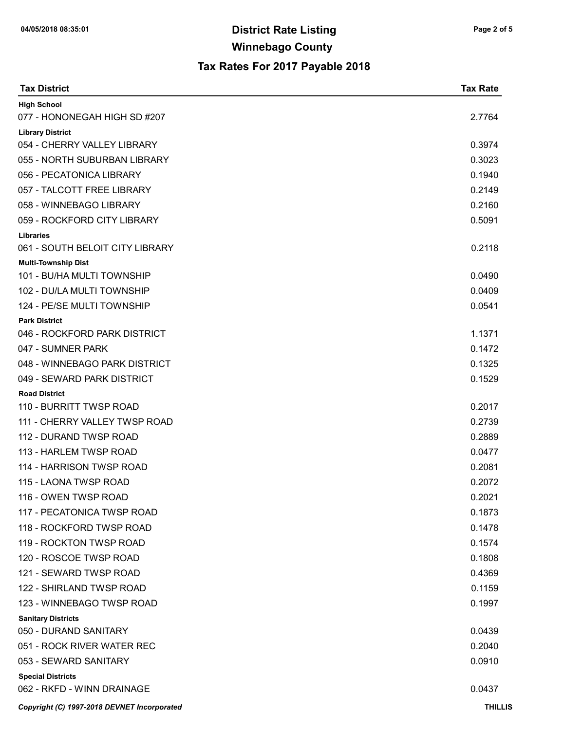| <b>Tax District</b>                                      | <b>Tax Rate</b> |
|----------------------------------------------------------|-----------------|
| <b>High School</b>                                       |                 |
| 077 - HONONEGAH HIGH SD #207                             | 2.7764          |
| <b>Library District</b>                                  |                 |
| 054 - CHERRY VALLEY LIBRARY                              | 0.3974          |
| 055 - NORTH SUBURBAN LIBRARY                             | 0.3023          |
| 056 - PECATONICA LIBRARY                                 | 0.1940          |
| 057 - TALCOTT FREE LIBRARY                               | 0.2149          |
| 058 - WINNEBAGO LIBRARY                                  | 0.2160          |
| 059 - ROCKFORD CITY LIBRARY                              | 0.5091          |
| <b>Libraries</b>                                         |                 |
| 061 - SOUTH BELOIT CITY LIBRARY                          | 0.2118          |
| <b>Multi-Township Dist</b><br>101 - BU/HA MULTI TOWNSHIP | 0.0490          |
| 102 - DU/LA MULTI TOWNSHIP                               | 0.0409          |
| 124 - PE/SE MULTI TOWNSHIP                               | 0.0541          |
| <b>Park District</b>                                     |                 |
| 046 - ROCKFORD PARK DISTRICT                             | 1.1371          |
| 047 - SUMNER PARK                                        | 0.1472          |
| 048 - WINNEBAGO PARK DISTRICT                            | 0.1325          |
| 049 - SEWARD PARK DISTRICT                               | 0.1529          |
| <b>Road District</b>                                     |                 |
| 110 - BURRITT TWSP ROAD                                  | 0.2017          |
| 111 - CHERRY VALLEY TWSP ROAD                            | 0.2739          |
| 112 - DURAND TWSP ROAD                                   | 0.2889          |
| 113 - HARLEM TWSP ROAD                                   | 0.0477          |
| 114 - HARRISON TWSP ROAD                                 | 0.2081          |
| 115 - LAONA TWSP ROAD                                    | 0.2072          |
| 116 - OWEN TWSP ROAD                                     | 0.2021          |
| 117 - PECATONICA TWSP ROAD                               | 0.1873          |
| 118 - ROCKFORD TWSP ROAD                                 | 0.1478          |
| 119 - ROCKTON TWSP ROAD                                  | 0.1574          |
| 120 - ROSCOE TWSP ROAD                                   | 0.1808          |
| 121 - SEWARD TWSP ROAD                                   | 0.4369          |
| 122 - SHIRLAND TWSP ROAD                                 | 0.1159          |
| 123 - WINNEBAGO TWSP ROAD                                | 0.1997          |
| <b>Sanitary Districts</b>                                |                 |
| 050 - DURAND SANITARY                                    | 0.0439          |
| 051 - ROCK RIVER WATER REC                               | 0.2040          |
| 053 - SEWARD SANITARY                                    | 0.0910          |
| <b>Special Districts</b>                                 |                 |
| 062 - RKFD - WINN DRAINAGE                               | 0.0437          |
| Copyright (C) 1997-2018 DEVNET Incorporated              | <b>THILLIS</b>  |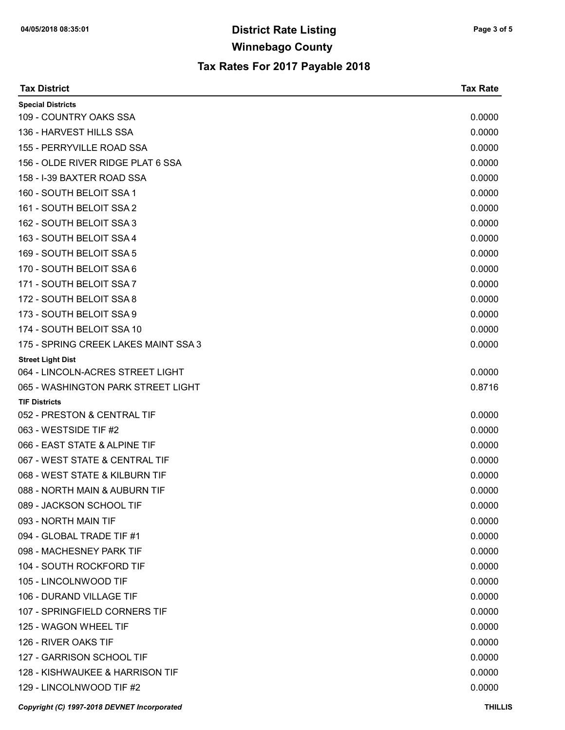| <b>Tax District</b>                         | <b>Tax Rate</b> |
|---------------------------------------------|-----------------|
| <b>Special Districts</b>                    |                 |
| 109 - COUNTRY OAKS SSA                      | 0.0000          |
| 136 - HARVEST HILLS SSA                     | 0.0000          |
| 155 - PERRYVILLE ROAD SSA                   | 0.0000          |
| 156 - OLDE RIVER RIDGE PLAT 6 SSA           | 0.0000          |
| 158 - I-39 BAXTER ROAD SSA                  | 0.0000          |
| 160 - SOUTH BELOIT SSA 1                    | 0.0000          |
| 161 - SOUTH BELOIT SSA 2                    | 0.0000          |
| 162 - SOUTH BELOIT SSA 3                    | 0.0000          |
| 163 - SOUTH BELOIT SSA 4                    | 0.0000          |
| 169 - SOUTH BELOIT SSA 5                    | 0.0000          |
| 170 - SOUTH BELOIT SSA 6                    | 0.0000          |
| 171 - SOUTH BELOIT SSA 7                    | 0.0000          |
| 172 - SOUTH BELOIT SSA 8                    | 0.0000          |
| 173 - SOUTH BELOIT SSA 9                    | 0.0000          |
| 174 - SOUTH BELOIT SSA 10                   | 0.0000          |
| 175 - SPRING CREEK LAKES MAINT SSA 3        | 0.0000          |
| <b>Street Light Dist</b>                    |                 |
| 064 - LINCOLN-ACRES STREET LIGHT            | 0.0000          |
| 065 - WASHINGTON PARK STREET LIGHT          | 0.8716          |
| <b>TIF Districts</b>                        |                 |
| 052 - PRESTON & CENTRAL TIF                 | 0.0000          |
| 063 - WESTSIDE TIF #2                       | 0.0000          |
| 066 - EAST STATE & ALPINE TIF               | 0.0000          |
| 067 - WEST STATE & CENTRAL TIF              | 0.0000          |
| 068 - WEST STATE & KILBURN TIF              | 0.0000          |
| 088 - NORTH MAIN & AUBURN TIF               | 0.0000          |
| 089 - JACKSON SCHOOL TIF                    | 0.0000          |
| 093 - NORTH MAIN TIF                        | 0.0000          |
| 094 - GLOBAL TRADE TIF #1                   | 0.0000          |
| 098 - MACHESNEY PARK TIF                    | 0.0000          |
| 104 - SOUTH ROCKFORD TIF                    | 0.0000          |
| 105 - LINCOLNWOOD TIF                       | 0.0000          |
| 106 - DURAND VILLAGE TIF                    | 0.0000          |
| 107 - SPRINGFIELD CORNERS TIF               | 0.0000          |
| 125 - WAGON WHEEL TIF                       | 0.0000          |
| 126 - RIVER OAKS TIF                        | 0.0000          |
| 127 - GARRISON SCHOOL TIF                   | 0.0000          |
| 128 - KISHWAUKEE & HARRISON TIF             | 0.0000          |
| 129 - LINCOLNWOOD TIF #2                    | 0.0000          |
| Copyright (C) 1997-2018 DEVNET Incorporated | <b>THILLIS</b>  |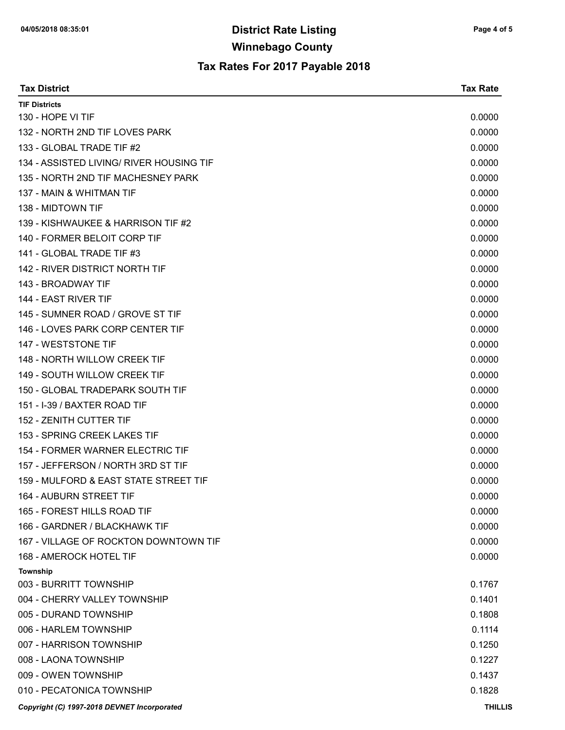| <b>Tax District</b>                         | <b>Tax Rate</b> |
|---------------------------------------------|-----------------|
| <b>TIF Districts</b>                        |                 |
| 130 - HOPE VI TIF                           | 0.0000          |
| 132 - NORTH 2ND TIF LOVES PARK              | 0.0000          |
| 133 - GLOBAL TRADE TIF #2                   | 0.0000          |
| 134 - ASSISTED LIVING/ RIVER HOUSING TIF    | 0.0000          |
| 135 - NORTH 2ND TIF MACHESNEY PARK          | 0.0000          |
| 137 - MAIN & WHITMAN TIF                    | 0.0000          |
| 138 - MIDTOWN TIF                           | 0.0000          |
| 139 - KISHWAUKEE & HARRISON TIF #2          | 0.0000          |
| 140 - FORMER BELOIT CORP TIF                | 0.0000          |
| 141 - GLOBAL TRADE TIF #3                   | 0.0000          |
| 142 - RIVER DISTRICT NORTH TIF              | 0.0000          |
| 143 - BROADWAY TIF                          | 0.0000          |
| 144 - EAST RIVER TIF                        | 0.0000          |
| 145 - SUMNER ROAD / GROVE ST TIF            | 0.0000          |
| 146 - LOVES PARK CORP CENTER TIF            | 0.0000          |
| 147 - WESTSTONE TIF                         | 0.0000          |
| 148 - NORTH WILLOW CREEK TIF                | 0.0000          |
| 149 - SOUTH WILLOW CREEK TIF                | 0.0000          |
| 150 - GLOBAL TRADEPARK SOUTH TIF            | 0.0000          |
| 151 - I-39 / BAXTER ROAD TIF                | 0.0000          |
| 152 - ZENITH CUTTER TIF                     | 0.0000          |
| 153 - SPRING CREEK LAKES TIF                | 0.0000          |
| 154 - FORMER WARNER ELECTRIC TIF            | 0.0000          |
| 157 - JEFFERSON / NORTH 3RD ST TIF          | 0.0000          |
| 159 - MULFORD & EAST STATE STREET TIF       | 0.0000          |
| 164 - AUBURN STREET TIF                     | 0.0000          |
| 165 - FOREST HILLS ROAD TIF                 | 0.0000          |
| 166 - GARDNER / BLACKHAWK TIF               | 0.0000          |
| 167 - VILLAGE OF ROCKTON DOWNTOWN TIF       | 0.0000          |
| <b>168 - AMEROCK HOTEL TIF</b>              | 0.0000          |
| Township                                    |                 |
| 003 - BURRITT TOWNSHIP                      | 0.1767          |
| 004 - CHERRY VALLEY TOWNSHIP                | 0.1401          |
| 005 - DURAND TOWNSHIP                       | 0.1808          |
| 006 - HARLEM TOWNSHIP                       | 0.1114          |
| 007 - HARRISON TOWNSHIP                     | 0.1250          |
| 008 - LAONA TOWNSHIP                        | 0.1227          |
| 009 - OWEN TOWNSHIP                         | 0.1437          |
| 010 - PECATONICA TOWNSHIP                   | 0.1828          |
| Copyright (C) 1997-2018 DEVNET Incorporated | <b>THILLIS</b>  |